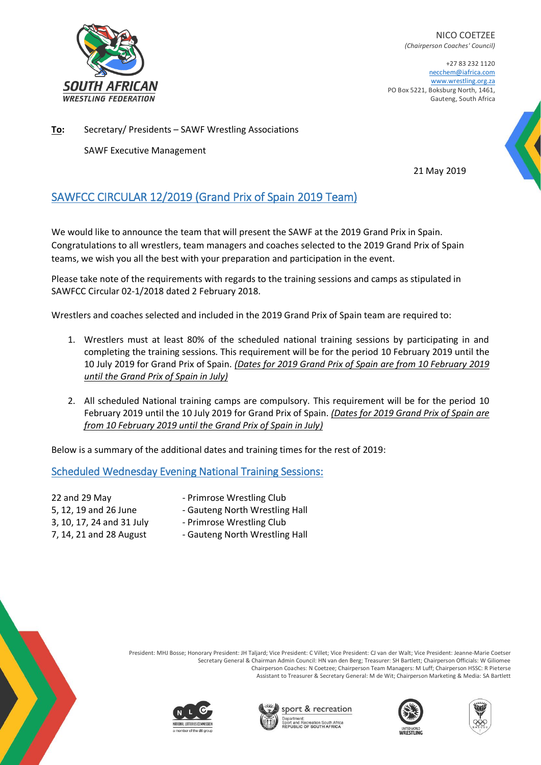

NICO COETZEE *(Chairperson Coaches' Council)*

+27 83 232 1120 necchem@iafrica.com [www.wrestling.org.za](http://www.wrestling.org.za/) PO Box 5221, Boksburg North, 1461, Gauteng, South Africa

**To:** Secretary/ Presidents – SAWF Wrestling Associations

SAWF Executive Management

21 May 2019

# SAWFCC CIRCULAR 12/2019 (Grand Prix of Spain 2019 Team)

We would like to announce the team that will present the SAWF at the 2019 Grand Prix in Spain. Congratulations to all wrestlers, team managers and coaches selected to the 2019 Grand Prix of Spain teams, we wish you all the best with your preparation and participation in the event.

Please take note of the requirements with regards to the training sessions and camps as stipulated in SAWFCC Circular 02-1/2018 dated 2 February 2018.

Wrestlers and coaches selected and included in the 2019 Grand Prix of Spain team are required to:

- 1. Wrestlers must at least 80% of the scheduled national training sessions by participating in and completing the training sessions. This requirement will be for the period 10 February 2019 until the 10 July 2019 for Grand Prix of Spain. *(Dates for 2019 Grand Prix of Spain are from 10 February 2019 until the Grand Prix of Spain in July)*
- 2. All scheduled National training camps are compulsory. This requirement will be for the period 10 February 2019 until the 10 July 2019 for Grand Prix of Spain. *(Dates for 2019 Grand Prix of Spain are from 10 February 2019 until the Grand Prix of Spain in July)*

Below is a summary of the additional dates and training times for the rest of 2019:

## Scheduled Wednesday Evening National Training Sessions:

22 and 29 May **Filter Access 12 August 22 and 29 May** - Primrose Wrestling Club

- 
- 5, 12, 19 and 26 June Gauteng North Wrestling Hall
- $3, 10, 17, 24$  and  $31$  July Primrose Wrestling Club
- 
- 7, 14, 21 and 28 August Gauteng North Wrestling Hall











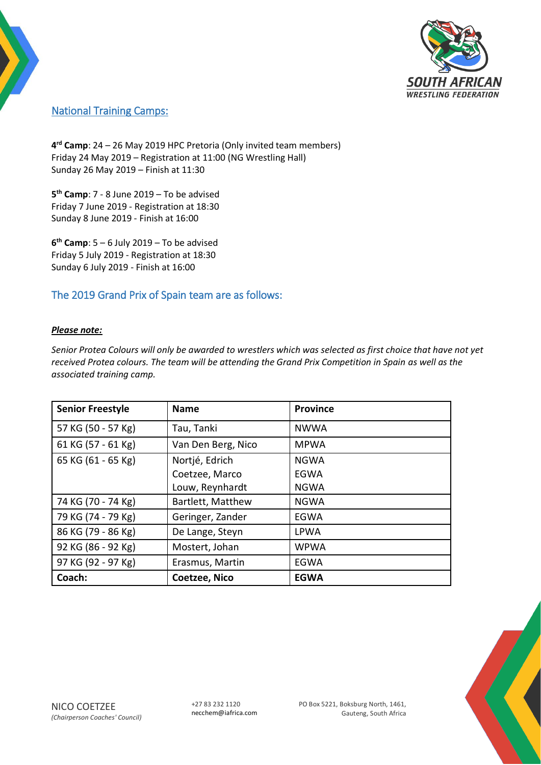

### National Training Camps:

**4 rd Camp**: 24 – 26 May 2019 HPC Pretoria (Only invited team members) Friday 24 May 2019 – Registration at 11:00 (NG Wrestling Hall) Sunday 26 May 2019 – Finish at 11:30

**5 th Camp**: 7 - 8 June 2019 – To be advised Friday 7 June 2019 - Registration at 18:30 Sunday 8 June 2019 - Finish at 16:00

**6 th Camp**: 5 – 6 July 2019 – To be advised Friday 5 July 2019 - Registration at 18:30 Sunday 6 July 2019 - Finish at 16:00

#### The 2019 Grand Prix of Spain team are as follows:

#### *Please note:*

*Senior Protea Colours will only be awarded to wrestlers which was selected as first choice that have not yet received Protea colours. The team will be attending the Grand Prix Competition in Spain as well as the associated training camp.*

| <b>Senior Freestyle</b> | <b>Name</b>        | <b>Province</b> |
|-------------------------|--------------------|-----------------|
| 57 KG (50 - 57 Kg)      | Tau, Tanki         | <b>NWWA</b>     |
| 61 KG (57 - 61 Kg)      | Van Den Berg, Nico | <b>MPWA</b>     |
| 65 KG (61 - 65 Kg)      | Nortjé, Edrich     | <b>NGWA</b>     |
|                         | Coetzee, Marco     | EGWA            |
|                         | Louw, Reynhardt    | <b>NGWA</b>     |
| 74 KG (70 - 74 Kg)      | Bartlett, Matthew  | <b>NGWA</b>     |
| 79 KG (74 - 79 Kg)      | Geringer, Zander   | EGWA            |
| 86 KG (79 - 86 Kg)      | De Lange, Steyn    | <b>LPWA</b>     |
| 92 KG (86 - 92 Kg)      | Mostert, Johan     | <b>WPWA</b>     |
| 97 KG (92 - 97 Kg)      | Erasmus, Martin    | EGWA            |
| Coach:                  | Coetzee, Nico      | <b>EGWA</b>     |